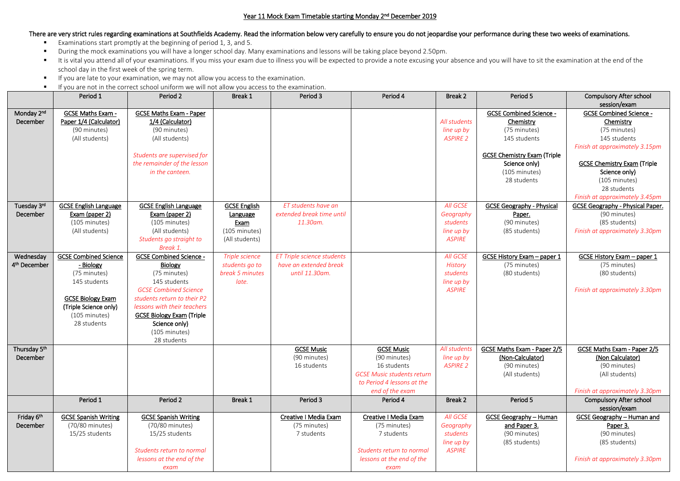## Year 11 Mock Exam Timetable starting Monday 2nd December 2019

## There are very strict rules regarding examinations at Southfields Academy. Read the information below very carefully to ensure you do not jeopardise your performance during these two weeks of examinations.

- Examinations start promptly at the beginning of period 1, 3, and 5.
- **During the mock examinations you will have a longer school day. Many examinations and lessons will be taking place beyond 2.50pm.**
- It is vital you attend all of your examinations. If you miss your exam due to illness you will be expected to provide a note excusing your absence and you will have to sit the examination at the end of the school day in the first week of the spring term.
- **If you are late to your examination, we may not allow you access to the examination.**
- **If you are not in the correct school uniform we will not allow you access to the examination.**

|                          | Period 1                     | Period 2                         | Break 1             | Period 3                   | Period 4                          | Break 2         | Period 5                           | <b>Compulsory After school</b>                 |
|--------------------------|------------------------------|----------------------------------|---------------------|----------------------------|-----------------------------------|-----------------|------------------------------------|------------------------------------------------|
|                          |                              |                                  |                     |                            |                                   |                 |                                    | session/exam                                   |
| Monday 2 <sup>nd</sup>   | <b>GCSE Maths Exam -</b>     | <b>GCSE Maths Exam - Paper</b>   |                     |                            |                                   |                 | <b>GCSE Combined Science -</b>     | <b>GCSE Combined Science -</b>                 |
| December                 | Paper 1/4 (Calculator)       | 1/4 (Calculator)                 |                     |                            |                                   | All students    | Chemistry                          | Chemistry                                      |
|                          | (90 minutes)                 | (90 minutes)                     |                     |                            |                                   | line up by      | (75 minutes)                       | (75 minutes)                                   |
|                          | (All students)               | (All students)                   |                     |                            |                                   | <b>ASPIRE 2</b> | 145 students                       | 145 students                                   |
|                          |                              |                                  |                     |                            |                                   |                 |                                    | Finish at approximately 3.15pm                 |
|                          |                              | Students are supervised for      |                     |                            |                                   |                 | <b>GCSE Chemistry Exam (Triple</b> |                                                |
|                          |                              | the remainder of the lesson      |                     |                            |                                   |                 | Science only)                      | <b>GCSE Chemistry Exam (Triple</b>             |
|                          |                              | in the canteen.                  |                     |                            |                                   |                 | (105 minutes)                      | Science only)                                  |
|                          |                              |                                  |                     |                            |                                   |                 | 28 students                        | (105 minutes)                                  |
|                          |                              |                                  |                     |                            |                                   |                 |                                    | 28 students                                    |
|                          |                              |                                  |                     |                            |                                   |                 |                                    | Finish at approximately 3.45pm                 |
| Tuesday 3rd              | <b>GCSE English Language</b> | <b>GCSE English Language</b>     | <b>GCSE English</b> | ET students have an        |                                   | <b>All GCSE</b> | <b>GCSE Geography - Physical</b>   | GCSE Geography - Physical Paper.               |
| December                 | Exam (paper 2)               | Exam (paper 2)                   | Language            | extended break time until  |                                   | Geography       | Paper.                             | (90 minutes)                                   |
|                          | (105 minutes)                | (105 minutes)                    | Exam                | 11.30am.                   |                                   | students        | (90 minutes)                       | (85 students)                                  |
|                          | (All students)               | (All students)                   | (105 minutes)       |                            |                                   | line up by      | (85 students)                      | Finish at approximately 3.30pm                 |
|                          |                              | Students go straight to          | (All students)      |                            |                                   | <b>ASPIRE</b>   |                                    |                                                |
|                          |                              | Break 1.                         |                     |                            |                                   |                 |                                    |                                                |
| Wednesday                | <b>GCSE Combined Science</b> | <b>GCSE Combined Science -</b>   | Triple science      | ET Triple science students |                                   | <b>All GCSE</b> | <b>GCSE History Exam - paper 1</b> | <b>GCSE History Exam - paper 1</b>             |
| 4 <sup>th</sup> December | - Biology                    | <b>Biology</b>                   | students go to      | have an extended break     |                                   | <b>History</b>  | (75 minutes)                       | (75 minutes)                                   |
|                          | (75 minutes)                 | (75 minutes)                     | break 5 minutes     | until 11.30am.             |                                   | students        | (80 students)                      | (80 students)                                  |
|                          | 145 students                 | 145 students                     | late.               |                            |                                   | line up by      |                                    |                                                |
|                          |                              | <b>GCSE Combined Science</b>     |                     |                            |                                   | <b>ASPIRE</b>   |                                    | Finish at approximately 3.30pm                 |
|                          | <b>GCSE Biology Exam</b>     | students return to their P2      |                     |                            |                                   |                 |                                    |                                                |
|                          | (Triple Science only)        | lessons with their teachers      |                     |                            |                                   |                 |                                    |                                                |
|                          | (105 minutes)                | <b>GCSE Biology Exam (Triple</b> |                     |                            |                                   |                 |                                    |                                                |
|                          | 28 students                  | Science only)                    |                     |                            |                                   |                 |                                    |                                                |
|                          |                              | (105 minutes)                    |                     |                            |                                   |                 |                                    |                                                |
|                          |                              | 28 students                      |                     |                            |                                   |                 |                                    |                                                |
| Thursday 5th             |                              |                                  |                     | <b>GCSE Music</b>          | <b>GCSE Music</b>                 | All students    | GCSE Maths Exam - Paper 2/5        | <b>GCSE Maths Exam - Paper 2/5</b>             |
| December                 |                              |                                  |                     | (90 minutes)               | (90 minutes)                      | line up by      | (Non-Calculator)                   | (Non Calculator)                               |
|                          |                              |                                  |                     | 16 students                | 16 students                       | <b>ASPIRE 2</b> | (90 minutes)                       | (90 minutes)                                   |
|                          |                              |                                  |                     |                            | <b>GCSE Music students return</b> |                 | (All students)                     | (All students)                                 |
|                          |                              |                                  |                     |                            | to Period 4 lessons at the        |                 |                                    |                                                |
|                          |                              |                                  |                     |                            | end of the exam                   |                 |                                    | Finish at approximately 3.30pm                 |
|                          | Period 1                     | Period 2                         | Break 1             | Period 3                   | Period 4                          | Break 2         | Period 5                           | <b>Compulsory After school</b><br>session/exam |
| Friday 6th               | <b>GCSE Spanish Writing</b>  | <b>GCSE Spanish Writing</b>      |                     | Creative I Media Exam      | Creative I Media Exam             | All GCSE        | <b>GCSE Geography - Human</b>      | <b>GCSE Geography - Human and</b>              |
| December                 | (70/80 minutes)              | (70/80 minutes)                  |                     | (75 minutes)               | (75 minutes)                      | Geography       | and Paper 3.                       | Paper 3.                                       |
|                          | 15/25 students               | 15/25 students                   |                     | 7 students                 | 7 students                        | students        | (90 minutes)                       | (90 minutes)                                   |
|                          |                              |                                  |                     |                            |                                   | line up by      | (85 students)                      | (85 students)                                  |
|                          |                              | Students return to normal        |                     |                            | Students return to normal         | <b>ASPIRE</b>   |                                    |                                                |
|                          |                              | lessons at the end of the        |                     |                            | lessons at the end of the         |                 |                                    | Finish at approximately 3.30pm                 |
|                          |                              | exam                             |                     |                            | exam                              |                 |                                    |                                                |
|                          |                              |                                  |                     |                            |                                   |                 |                                    |                                                |